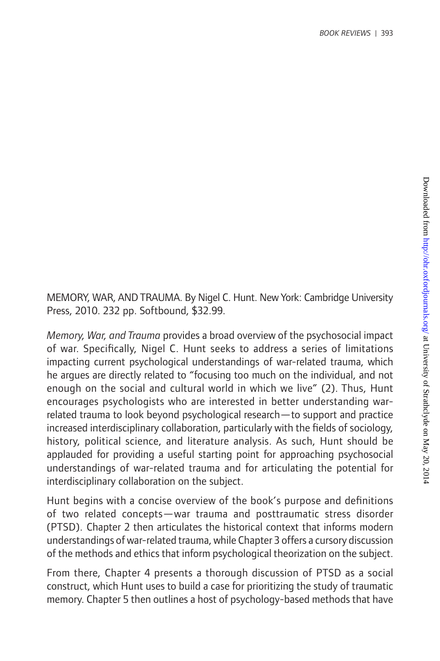MEMORY, WAR, AND TRAUMA. By Nigel C. Hunt. New York: Cambridge University Press, 2010. 232 pp. Softbound, \$32.99.

*Memory, War, and Trauma* provides a broad overview of the psychosocial impact of war. Specifically, Nigel C. Hunt seeks to address a series of limitations impacting current psychological understandings of war-related trauma, which he argues are directly related to "focusing too much on the individual, and not enough on the social and cultural world in which we live" (2). Thus, Hunt encourages psychologists who are interested in better understanding warrelated trauma to look beyond psychological research—to support and practice increased interdisciplinary collaboration, particularly with the fields of sociology, history, political science, and literature analysis. As such, Hunt should be applauded for providing a useful starting point for approaching psychosocial understandings of war-related trauma and for articulating the potential for interdisciplinary collaboration on the subject.

Hunt begins with a concise overview of the book's purpose and definitions of two related concepts—war trauma and posttraumatic stress disorder (PTSD). Chapter 2 then articulates the historical context that informs modern understandings of war-related trauma, while Chapter 3 offers a cursory discussion of the methods and ethics that inform psychological theorization on the subject.

From there, Chapter 4 presents a thorough discussion of PTSD as a social construct, which Hunt uses to build a case for prioritizing the study of traumatic memory. Chapter 5 then outlines a host of psychology-based methods that have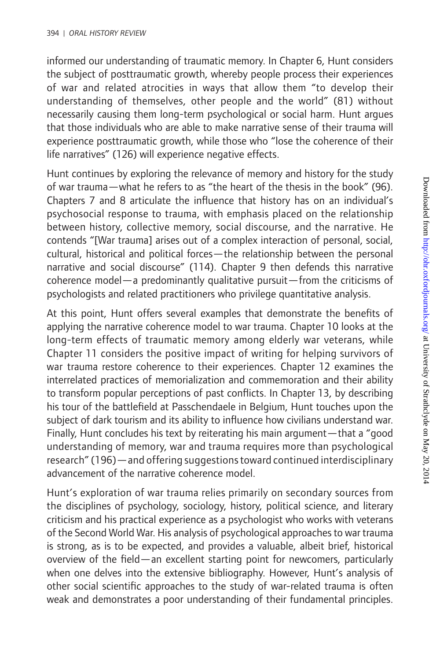informed our understanding of traumatic memory. In Chapter 6, Hunt considers the subject of posttraumatic growth, whereby people process their experiences of war and related atrocities in ways that allow them "to develop their understanding of themselves, other people and the world" (81) without necessarily causing them long-term psychological or social harm. Hunt argues that those individuals who are able to make narrative sense of their trauma will experience posttraumatic growth, while those who "lose the coherence of their life narratives" (126) will experience negative effects.

Hunt continues by exploring the relevance of memory and history for the study of war trauma—what he refers to as "the heart of the thesis in the book" (96). Chapters 7 and 8 articulate the influence that history has on an individual's psychosocial response to trauma, with emphasis placed on the relationship between history, collective memory, social discourse, and the narrative. He contends "[War trauma] arises out of a complex interaction of personal, social, cultural, historical and political forces—the relationship between the personal narrative and social discourse" (114). Chapter 9 then defends this narrative coherence model—a predominantly qualitative pursuit—from the criticisms of psychologists and related practitioners who privilege quantitative analysis.

At this point, Hunt offers several examples that demonstrate the benefits of applying the narrative coherence model to war trauma. Chapter 10 looks at the long-term effects of traumatic memory among elderly war veterans, while Chapter 11 considers the positive impact of writing for helping survivors of war trauma restore coherence to their experiences. Chapter 12 examines the interrelated practices of memorialization and commemoration and their ability to transform popular perceptions of past conflicts. In Chapter 13, by describing his tour of the battlefield at Passchendaele in Belgium, Hunt touches upon the subject of dark tourism and its ability to influence how civilians understand war. Finally, Hunt concludes his text by reiterating his main argument—that a "good understanding of memory, war and trauma requires more than psychological research" (196)—and offering suggestions toward continued interdisciplinary advancement of the narrative coherence model.

Hunt's exploration of war trauma relies primarily on secondary sources from the disciplines of psychology, sociology, history, political science, and literary criticism and his practical experience as a psychologist who works with veterans of the Second World War. His analysis of psychological approaches to war trauma is strong, as is to be expected, and provides a valuable, albeit brief, historical overview of the field—an excellent starting point for newcomers, particularly when one delves into the extensive bibliography. However, Hunt's analysis of other social scientific approaches to the study of war-related trauma is often weak and demonstrates a poor understanding of their fundamental principles.